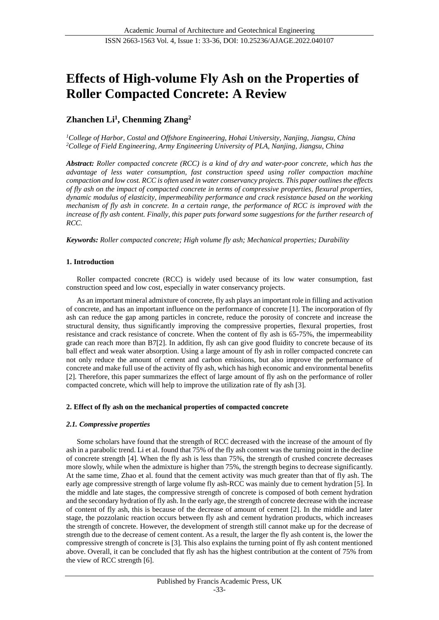# **Effects of High-volume Fly Ash on the Properties of Roller Compacted Concrete: A Review**

# **Zhanchen Li<sup>1</sup> , Chenming Zhang<sup>2</sup>**

*<sup>1</sup>College of Harbor, Costal and Offshore Engineering, Hohai University, Nanjing, Jiangsu, China <sup>2</sup>College of Field Engineering, Army Engineering University of PLA, Nanjing, Jiangsu, China*

*Abstract: Roller compacted concrete (RCC) is a kind of dry and water-poor concrete, which has the advantage of less water consumption, fast construction speed using roller compaction machine compaction and low cost. RCC is often used in water conservancy projects. This paper outlines the effects of fly ash on the impact of compacted concrete in terms of compressive properties, flexural properties, dynamic modulus of elasticity, impermeability performance and crack resistance based on the working mechanism of fly ash in concrete. In a certain range, the performance of RCC is improved with the increase of fly ash content. Finally, this paper puts forward some suggestions for the further research of RCC.* 

*Keywords: Roller compacted concrete; High volume fly ash; Mechanical properties; Durability*

# **1. Introduction**

Roller compacted concrete (RCC) is widely used because of its low water consumption, fast construction speed and low cost, especially in water conservancy projects.

As an important mineral admixture of concrete, fly ash plays an important role in filling and activation of concrete, and has an important influence on the performance of concrete [1]. The incorporation of fly ash can reduce the gap among particles in concrete, reduce the porosity of concrete and increase the structural density, thus significantly improving the compressive properties, flexural properties, frost resistance and crack resistance of concrete. When the content of fly ash is 65-75%, the impermeability grade can reach more than B7[2]. In addition, fly ash can give good fluidity to concrete because of its ball effect and weak water absorption. Using a large amount of fly ash in roller compacted concrete can not only reduce the amount of cement and carbon emissions, but also improve the performance of concrete and make full use of the activity of fly ash, which has high economic and environmental benefits [2]. Therefore, this paper summarizes the effect of large amount of fly ash on the performance of roller compacted concrete, which will help to improve the utilization rate of fly ash [3].

### **2. Effect of fly ash on the mechanical properties of compacted concrete**

### *2.1. Compressive properties*

Some scholars have found that the strength of RCC decreased with the increase of the amount of fly ash in a parabolic trend. Li et al. found that 75% of the fly ash content was the turning point in the decline of concrete strength [4]. When the fly ash is less than 75%, the strength of crushed concrete decreases more slowly, while when the admixture is higher than 75%, the strength begins to decrease significantly. At the same time, Zhao et al. found that the cement activity was much greater than that of fly ash. The early age compressive strength of large volume fly ash-RCC was mainly due to cement hydration [5]. In the middle and late stages, the compressive strength of concrete is composed of both cement hydration and the secondary hydration of fly ash. In the early age, the strength of concrete decrease with the increase of content of fly ash, this is because of the decrease of amount of cement [2]. In the middle and later stage, the pozzolanic reaction occurs between fly ash and cement hydration products, which increases the strength of concrete. However, the development of strength still cannot make up for the decrease of strength due to the decrease of cement content. As a result, the larger the fly ash content is, the lower the compressive strength of concrete is [3]. This also explains the turning point of fly ash content mentioned above. Overall, it can be concluded that fly ash has the highest contribution at the content of 75% from the view of RCC strength [6].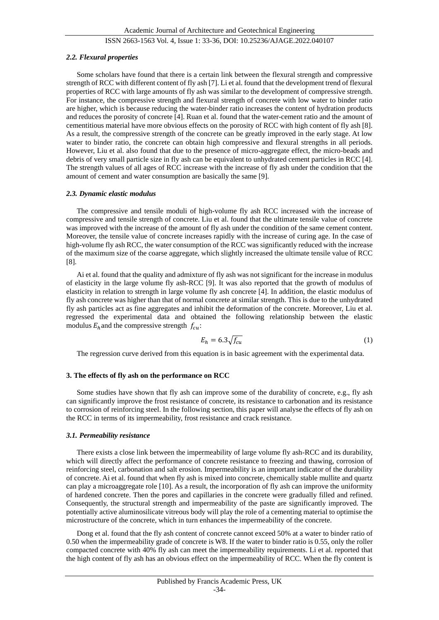# ISSN 2663-1563 Vol. 4, Issue 1: 33-36, DOI: 10.25236/AJAGE.2022.040107

#### *2.2. Flexural properties*

Some scholars have found that there is a certain link between the flexural strength and compressive strength of RCC with different content of fly ash [7]. Li et al. found that the development trend of flexural properties of RCC with large amounts of fly ash was similar to the development of compressive strength. For instance, the compressive strength and flexural strength of concrete with low water to binder ratio are higher, which is because reducing the water-binder ratio increases the content of hydration products and reduces the porosity of concrete [4]. Ruan et al. found that the water-cement ratio and the amount of cementitious material have more obvious effects on the porosity of RCC with high content of fly ash [8]. As a result, the compressive strength of the concrete can be greatly improved in the early stage. At low water to binder ratio, the concrete can obtain high compressive and flexural strengths in all periods. However, Liu et al. also found that due to the presence of micro-aggregate effect, the micro-beads and debris of very small particle size in fly ash can be equivalent to unhydrated cement particles in RCC [4]. The strength values of all ages of RCC increase with the increase of fly ash under the condition that the amount of cement and water consumption are basically the same [9].

#### *2.3. Dynamic elastic modulus*

The compressive and tensile moduli of high-volume fly ash RCC increased with the increase of compressive and tensile strength of concrete. Liu et al. found that the ultimate tensile value of concrete was improved with the increase of the amount of fly ash under the condition of the same cement content. Moreover, the tensile value of concrete increases rapidly with the increase of curing age. In the case of high-volume fly ash RCC, the water consumption of the RCC was significantly reduced with the increase of the maximum size of the coarse aggregate, which slightly increased the ultimate tensile value of RCC [8].

Ai et al. found that the quality and admixture of fly ash was not significant for the increase in modulus of elasticity in the large volume fly ash-RCC [9]. It was also reported that the growth of modulus of elasticity in relation to strength in large volume fly ash concrete [4]. In addition, the elastic modulus of fly ash concrete was higher than that of normal concrete at similar strength. This is due to the unhydrated fly ash particles act as fine aggregates and inhibit the deformation of the concrete. Moreover, Liu et al. regressed the experimental data and obtained the following relationship between the elastic modulus  $E_h$  and the compressive strength  $f_{cu}$ :

$$
E_h = 6.3\sqrt{f_{cu}}\tag{1}
$$

The regression curve derived from this equation is in basic agreement with the experimental data.

# **3. The effects of fly ash on the performance on RCC**

Some studies have shown that fly ash can improve some of the durability of concrete, e.g., fly ash can significantly improve the frost resistance of concrete, its resistance to carbonation and its resistance to corrosion of reinforcing steel. In the following section, this paper will analyse the effects of fly ash on the RCC in terms of its impermeability, frost resistance and crack resistance.

#### *3.1. Permeability resistance*

There exists a close link between the impermeability of large volume fly ash-RCC and its durability, which will directly affect the performance of concrete resistance to freezing and thawing, corrosion of reinforcing steel, carbonation and salt erosion. Impermeability is an important indicator of the durability of concrete. Ai et al. found that when fly ash is mixed into concrete, chemically stable mullite and quartz can play a microaggregate role [10]. As a result, the incorporation of fly ash can improve the uniformity of hardened concrete. Then the pores and capillaries in the concrete were gradually filled and refined. Consequently, the structural strength and impermeability of the paste are significantly improved. The potentially active aluminosilicate vitreous body will play the role of a cementing material to optimise the microstructure of the concrete, which in turn enhances the impermeability of the concrete.

Dong et al. found that the fly ash content of concrete cannot exceed 50% at a water to binder ratio of 0.50 when the impermeability grade of concrete is W8. If the water to binder ratio is 0.55, only the roller compacted concrete with 40% fly ash can meet the impermeability requirements. Li et al. reported that the high content of fly ash has an obvious effect on the impermeability of RCC. When the fly content is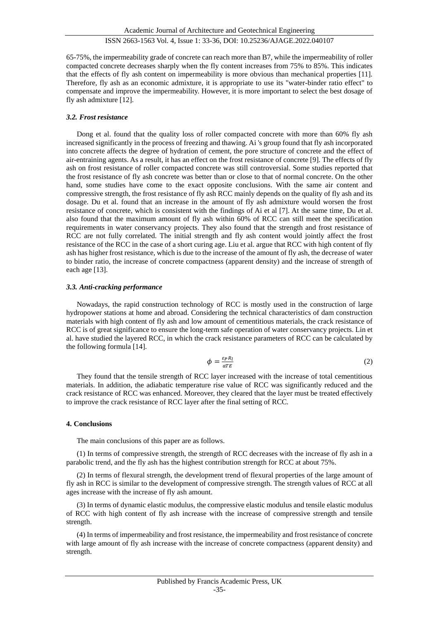### ISSN 2663-1563 Vol. 4, Issue 1: 33-36, DOI: 10.25236/AJAGE.2022.040107

65-75%, the impermeability grade of concrete can reach more than B7, while the impermeability of roller compacted concrete decreases sharply when the fly content increases from 75% to 85%. This indicates that the effects of fly ash content on impermeability is more obvious than mechanical properties [11]. Therefore, fly ash as an economic admixture, it is appropriate to use its "water-binder ratio effect" to compensate and improve the impermeability. However, it is more important to select the best dosage of fly ash admixture [12].

#### *3.2. Frost resistance*

Dong et al. found that the quality loss of roller compacted concrete with more than 60% fly ash increased significantly in the process of freezing and thawing. Ai 's group found that fly ash incorporated into concrete affects the degree of hydration of cement, the pore structure of concrete and the effect of air-entraining agents. As a result, it has an effect on the frost resistance of concrete [9]. The effects of fly ash on frost resistance of roller compacted concrete was still controversial. Some studies reported that the frost resistance of fly ash concrete was better than or close to that of normal concrete. On the other hand, some studies have come to the exact opposite conclusions. With the same air content and compressive strength, the frost resistance of fly ash RCC mainly depends on the quality of fly ash and its dosage. Du et al. found that an increase in the amount of fly ash admixture would worsen the frost resistance of concrete, which is consistent with the findings of Ai et al [7]. At the same time, Du et al. also found that the maximum amount of fly ash within 60% of RCC can still meet the specification requirements in water conservancy projects. They also found that the strength and frost resistance of RCC are not fully correlated. The initial strength and fly ash content would jointly affect the frost resistance of the RCC in the case of a short curing age. Liu et al. argue that RCC with high content of fly ash has higher frost resistance, which is due to the increase of the amount of fly ash, the decrease of water to binder ratio, the increase of concrete compactness (apparent density) and the increase of strength of each age [13].

#### *3.3. Anti-cracking performance*

Nowadays, the rapid construction technology of RCC is mostly used in the construction of large hydropower stations at home and abroad. Considering the technical characteristics of dam construction materials with high content of fly ash and low amount of cementitious materials, the crack resistance of RCC is of great significance to ensure the long-term safe operation of water conservancy projects. Lin et al. have studied the layered RCC, in which the crack resistance parameters of RCC can be calculated by the following formula [14].

$$
\phi = \frac{\varepsilon_P R_l}{a T E} \tag{2}
$$

They found that the tensile strength of RCC layer increased with the increase of total cementitious materials. In addition, the adiabatic temperature rise value of RCC was significantly reduced and the crack resistance of RCC was enhanced. Moreover, they cleared that the layer must be treated effectively to improve the crack resistance of RCC layer after the final setting of RCC.

#### **4. Conclusions**

The main conclusions of this paper are as follows.

(1) In terms of compressive strength, the strength of RCC decreases with the increase of fly ash in a parabolic trend, and the fly ash has the highest contribution strength for RCC at about 75%.

(2) In terms of flexural strength, the development trend of flexural properties of the large amount of fly ash in RCC is similar to the development of compressive strength. The strength values of RCC at all ages increase with the increase of fly ash amount.

(3) In terms of dynamic elastic modulus, the compressive elastic modulus and tensile elastic modulus of RCC with high content of fly ash increase with the increase of compressive strength and tensile strength.

(4) In terms of impermeability and frost resistance, the impermeability and frost resistance of concrete with large amount of fly ash increase with the increase of concrete compactness (apparent density) and strength.